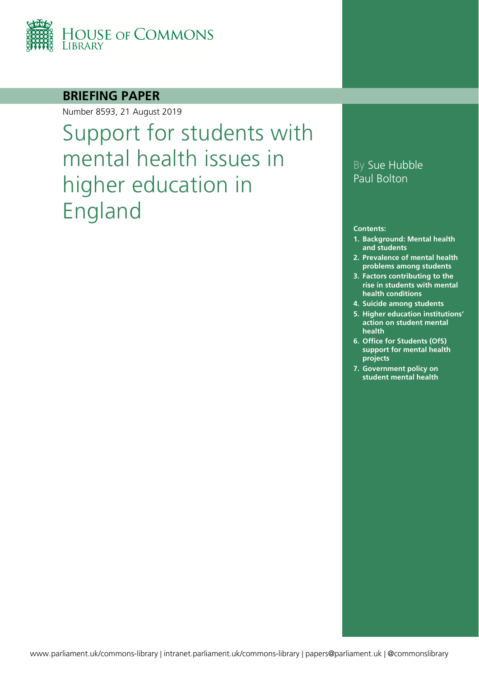

### **BRIEFING PAPER**

Number 8593, 21 August 2019

Support for students with mental health issues in higher education in England

### By Sue Hubble Paul Bolton

#### **Contents:**

- **1. [Background: Mental health](#page-4-0)  [and students](#page-4-0)**
- **2. [Prevalence of mental health](#page-5-0)  [problems among students](#page-5-0)**
- **3. [Factors contributing to the](#page-8-0)  [rise in students with mental](#page-8-0)  [health conditions](#page-8-0)**
- **4. [Suicide among students](#page-9-0)**
- **5. [Higher education institutions'](#page-12-0)  [action on student mental](#page-12-0)  [health](#page-12-0)**
- **6. [Office for Students \(OfS\)](#page-14-0)  [support for mental health](#page-14-0)  [projects](#page-14-0)**
- **7. [Government policy on](#page-15-0)  [student mental health](#page-15-0)**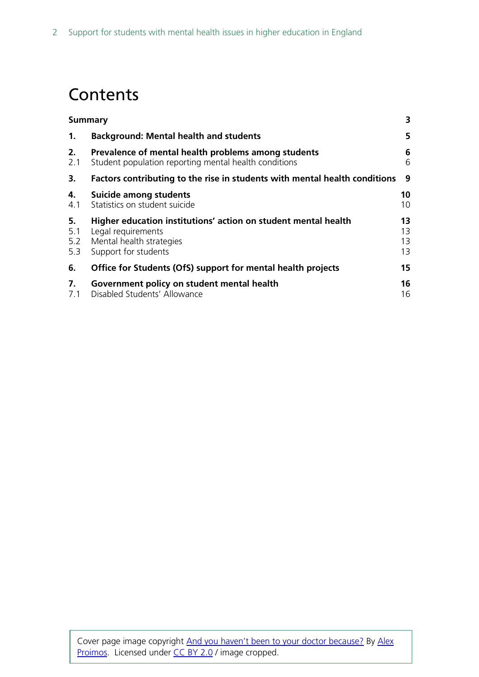# **Contents**

|                         | <b>Summary</b>                                                                                                                           |                      |
|-------------------------|------------------------------------------------------------------------------------------------------------------------------------------|----------------------|
| 1.                      | <b>Background: Mental health and students</b>                                                                                            | 5                    |
| 2.<br>2.1               | Prevalence of mental health problems among students<br>Student population reporting mental health conditions                             | 6<br>6               |
| 3.                      | Factors contributing to the rise in students with mental health conditions                                                               | 9                    |
| 4.<br>4.1               | Suicide among students<br>Statistics on student suicide                                                                                  | 10<br>10             |
| 5.<br>5.1<br>5.2<br>5.3 | Higher education institutions' action on student mental health<br>Legal requirements<br>Mental health strategies<br>Support for students | 13<br>13<br>13<br>13 |
| 6.                      | Office for Students (OfS) support for mental health projects                                                                             | 15                   |
| 7.<br>7.1               | Government policy on student mental health<br>Disabled Students' Allowance                                                               | 16<br>16             |
|                         |                                                                                                                                          |                      |

Cover page image copyright [And you haven't been to your doctor because?](https://www.flickr.com/photos/proimos/6870109454/in/photolist-bt67c1-ekSLJE-85dm87-85adiZ-85aefZ-85dk6m-85dnLE-85dkQA-85af2x-85adqi-85aeGP-85dmp5-85dj47-85adzz-85acMM-85acAz-85acXg-85ae9t-85aemx-85dmQS-85afBe-85djxu-85dkwh-85djiq-85dnay-85afgB-85dm2f-85acsK-85djMA-85dkqJ-qtiYRj-2iQfW-8SNxMK-7bKjKG-cBFQG-9Q7Go5-39cE8E-e62WCm-e6o2Y7-77QuHF-aShEik-8CdKHU-aShbHv-39cJnh-aD5TyP-39cJ99-ae1ZWW-cgBiuW-cgBjtw-cgBgch) By [Alex](https://www.flickr.com/photos/proimos/) [Proimos.](https://www.flickr.com/photos/proimos/) Licensed under [CC BY 2.0](https://creativecommons.org/licenses/by-nc/2.0/) / image cropped.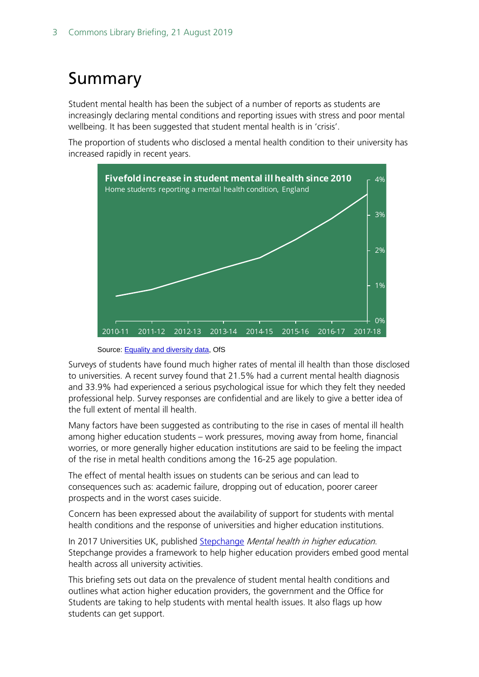# <span id="page-2-0"></span>Summary

Student mental health has been the subject of a number of reports as students are increasingly declaring mental conditions and reporting issues with stress and poor mental wellbeing. It has been suggested that student mental health is in 'crisis'.

The proportion of students who disclosed a mental health condition to their university has increased rapidly in recent years.



Source: [Equality and diversity data,](https://www.officeforstudents.org.uk/data-and-analysis/equality-and-diversity/) OfS

Surveys of students have found much higher rates of mental ill health than those disclosed to universities. A recent survey found that 21.5% had a current mental health diagnosis and 33.9% had experienced a serious psychological issue for which they felt they needed professional help. Survey responses are confidential and are likely to give a better idea of the full extent of mental ill health.

Many factors have been suggested as contributing to the rise in cases of mental ill health among higher education students – work pressures, moving away from home, financial worries, or more generally higher education institutions are said to be feeling the impact of the rise in metal health conditions among the 16-25 age population.

The effect of mental health issues on students can be serious and can lead to consequences such as: academic failure, dropping out of education, poorer career prospects and in the worst cases suicide.

Concern has been expressed about the availability of support for students with mental health conditions and the response of universities and higher education institutions.

In 2017 Universities UK, published [Stepchange](https://www.universitiesuk.ac.uk/policy-and-analysis/stepchange/Pages/default.aspx) Mental health in higher education. Stepchange provides a framework to help higher education providers embed good mental health across all university activities.

This briefing sets out data on the prevalence of student mental health conditions and outlines what action higher education providers, the government and the Office for Students are taking to help students with mental health issues. It also flags up how students can get support.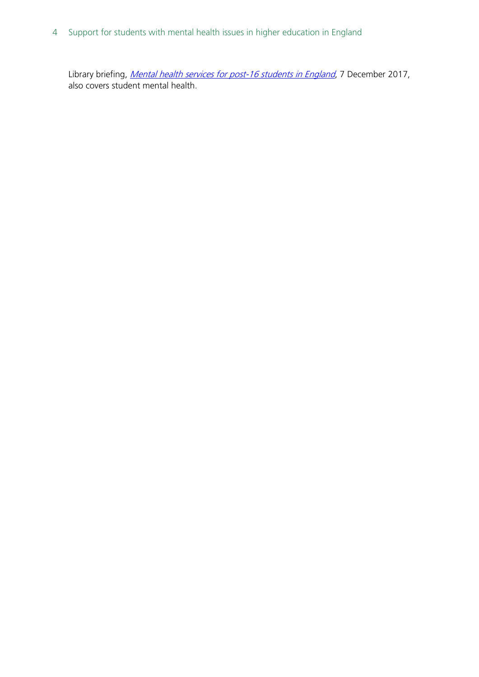4 Support for students with mental health issues in higher education in England

Library briefing, *[Mental health services for post-16 students in England](https://researchbriefings.files.parliament.uk/documents/CBP-8163/CBP-8163.pdf)*, 7 December 2017, also covers student mental health.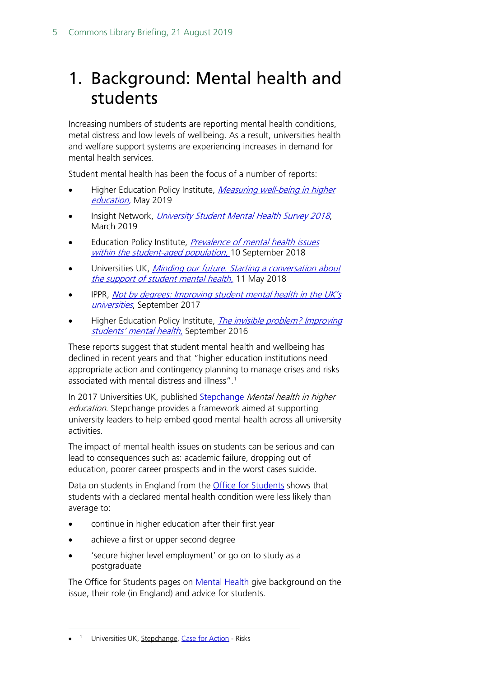## <span id="page-4-0"></span>1. Background: Mental health and students

Increasing numbers of students are reporting mental health conditions, metal distress and low levels of wellbeing. As a result, universities health and welfare support systems are experiencing increases in demand for mental health services.

Student mental health has been the focus of a number of reports:

- Higher Education Policy Institute, Measuring well-being in higher [education,](https://www.hepi.ac.uk/wp-content/uploads/2019/05/Policy-Note-13-Paper-May-2019-Measuring-well-being-in-higher-education-8-Pages-5.pdf) May 2019
- Insight Network, [University Student Mental Health Survey 2018](https://uploads-ssl.webflow.com/561110743bc7e45e78292140/5c7d4b5d314d163fecdc3706_Mental%20Health%20Report%202018.pdf), March 2019
- Education Policy Institute, *Prevalence of mental health issues* [within the student-aged population,](https://epi.org.uk/publications-and-research/prevalence-of-mental-health-issues-within-the-student-aged-population/) 10 September 2018
- Universities UK, Minding our future. Starting a conversation about [the support of student mental health](https://www.universitiesuk.ac.uk/policy-and-analysis/reports/Documents/2018/minding-our-future-starting-conversation-student-mental-health.pdf), 11 May 2018
- IPPR, Not by degrees: Improving student mental health in the UK's [universities](https://www.ippr.org/publications/not-by-degrees), September 2017
- Higher Education Policy Institute, *The invisible problem? Improving* [students' mental health](https://www.hepi.ac.uk/wp-content/uploads/2016/09/STRICTLY-EMBARGOED-UNTIL-22-SEPT-Hepi-Report-88-FINAL.pdf), September 2016

These reports suggest that student mental health and wellbeing has declined in recent years and that "higher education institutions need appropriate action and contingency planning to manage crises and risks associated with mental distress and illness". [1](#page-4-1)

In 2017 Universities UK, published [Stepchange](https://www.universitiesuk.ac.uk/policy-and-analysis/stepchange/Pages/default.aspx) Mental health in higher education. Stepchange provides a framework aimed at supporting university leaders to help embed good mental health across all university activities.

The impact of mental health issues on students can be serious and can lead to consequences such as: academic failure, dropping out of education, poorer career prospects and in the worst cases suicide.

Data on students in England from the **Office for Students** shows that students with a declared mental health condition were less likely than average to:

- continue in higher education after their first year
- achieve a first or upper second degree
- 'secure higher level employment' or go on to study as a postgraduate

The Office for Students pages on [Mental Health](https://www.officeforstudents.org.uk/advice-and-guidance/student-wellbeing-and-protection/mental-health/) give background on the issue, their role (in England) and advice for students.

<span id="page-4-1"></span>-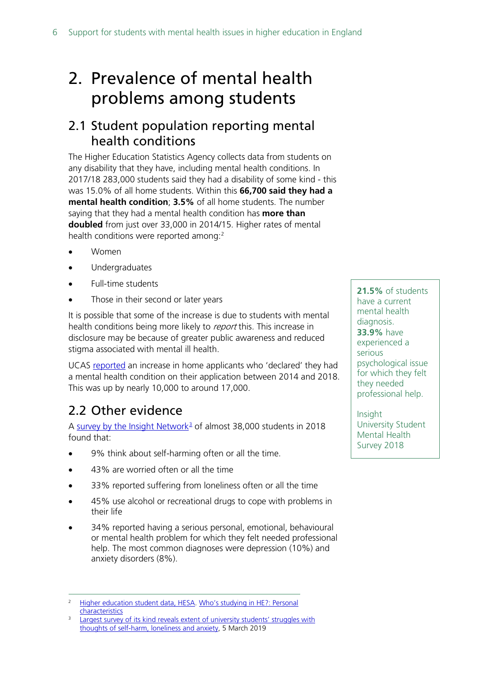# <span id="page-5-0"></span>2. Prevalence of mental health problems among students

### <span id="page-5-1"></span>2.1 Student population reporting mental health conditions

The Higher Education Statistics Agency collects data from students on any disability that they have, including mental health conditions. In 2017/18 283,000 students said they had a disability of some kind - this was 15.0% of all home students. Within this **66,700 said they had a mental health condition**; **3.5%** of all home students. The number saying that they had a mental health condition has **more than doubled** from just over 33,000 in 2014/15. Higher rates of mental health conditions were reported among:<sup>[2](#page-5-2)</sup>

- Women
- Undergraduates
- Full-time students
- Those in their second or later years

It is possible that some of the increase is due to students with mental health conditions being more likely to *report* this. This increase in disclosure may be because of greater public awareness and reduced stigma associated with mental ill health.

UCAS [reported](https://twitter.com/ucas_corporate/status/1128210848512712704) an increase in home applicants who 'declared' they had a mental health condition on their application between 2014 and 2018. This was up by nearly 10,000 to around 17,000.

## 2.2 Other evidence

A [survey by the Insight Network](https://www.rethink.org/media-centre/2019/03/student-mental-health)<sup>[3](#page-5-3)</sup> of almost 38,000 students in 2018 found that:

- 9% think about self-harming often or all the time.
- 43% are worried often or all the time
- 33% reported suffering from loneliness often or all the time
- 45% use alcohol or recreational drugs to cope with problems in their life
- 34% reported having a serious personal, emotional, behavioural or mental health problem for which they felt needed professional help. The most common diagnoses were depression (10%) and anxiety disorders (8%).

**21.5%** of students have a current mental health diagnosis. **33.9%** have experienced a serious psychological issue for which they felt they needed professional help.

Insight University Student Mental Health Survey 2018

<span id="page-5-2"></span>[Higher education student data, HESA.](https://www.hesa.ac.uk/data-and-analysis/students) Who's studying in HE?: Personal **[characteristics](https://www.hesa.ac.uk/data-and-analysis/students/whos-in-he/characteristics)** 

<span id="page-5-3"></span>Largest survey of its kind reveals extent of university students' struggles with [thoughts of self-harm, loneliness and anxiety,](https://www.rethink.org/news-and-stories/news/2019/mar/largest-survey-of-its-kind-reveals-extent-of-university-students-struggles-with-thoughts-of-self-harm-loneliness-and-anxiety/) 5 March 2019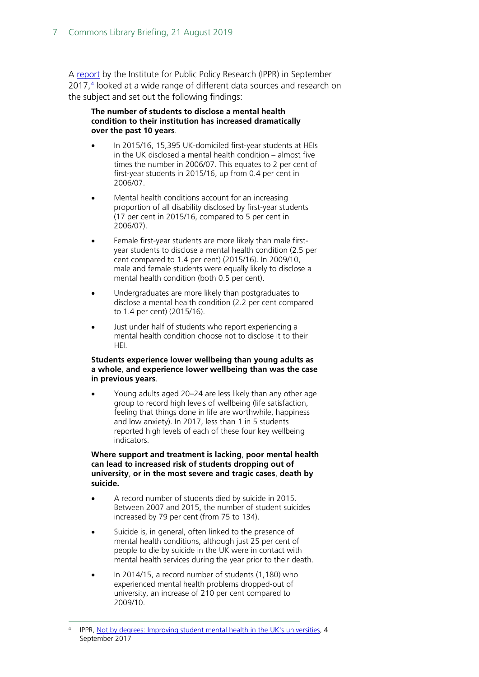A [report](https://www.ippr.org/research/publications/not-by-degrees) by the Institute for Public Policy Research (IPPR) in September 2017, [4](#page-6-0) looked at a wide range of different data sources and research on the subject and set out the following findings:

#### **The number of students to disclose a mental health condition to their institution has increased dramatically over the past 10 years**.

- In 2015/16, 15,395 UK-domiciled first-year students at HEIs in the UK disclosed a mental health condition – almost five times the number in 2006/07. This equates to 2 per cent of first-year students in 2015/16, up from 0.4 per cent in 2006/07.
- Mental health conditions account for an increasing proportion of all disability disclosed by first-year students (17 per cent in 2015/16, compared to 5 per cent in 2006/07).
- Female first-year students are more likely than male firstyear students to disclose a mental health condition (2.5 per cent compared to 1.4 per cent) (2015/16). In 2009/10, male and female students were equally likely to disclose a mental health condition (both 0.5 per cent).
- Undergraduates are more likely than postgraduates to disclose a mental health condition (2.2 per cent compared to 1.4 per cent) (2015/16).
- Just under half of students who report experiencing a mental health condition choose not to disclose it to their HEI.

#### **Students experience lower wellbeing than young adults as a whole**, **and experience lower wellbeing than was the case in previous years**.

• Young adults aged 20–24 are less likely than any other age group to record high levels of wellbeing (life satisfaction, feeling that things done in life are worthwhile, happiness and low anxiety). In 2017, less than 1 in 5 students reported high levels of each of these four key wellbeing indicators.

#### **Where support and treatment is lacking**, **poor mental health can lead to increased risk of students dropping out of university**, **or in the most severe and tragic cases**, **death by suicide.**

- A record number of students died by suicide in 2015. Between 2007 and 2015, the number of student suicides increased by 79 per cent (from 75 to 134).
- Suicide is, in general, often linked to the presence of mental health conditions, although just 25 per cent of people to die by suicide in the UK were in contact with mental health services during the year prior to their death.
- In 2014/15, a record number of students (1,180) who experienced mental health problems dropped-out of university, an increase of 210 per cent compared to 2009/10.

<span id="page-6-0"></span> <sup>4</sup> IPPR, [Not by degrees: Improving student mental health in the UK's universities,](https://www.ippr.org/research/publications/not-by-degrees) 4 September 2017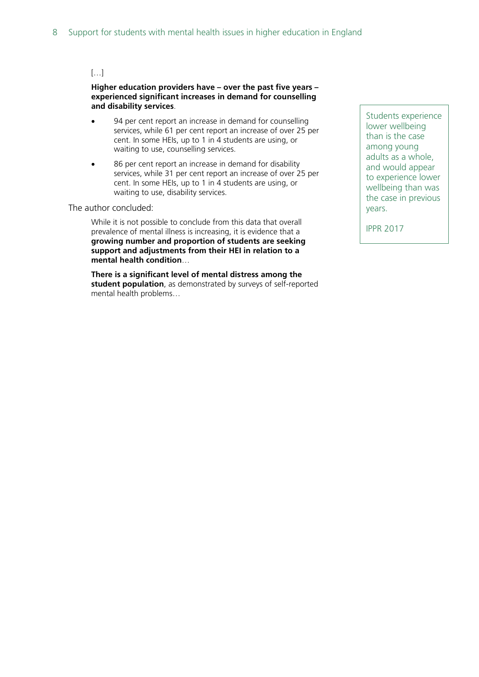#### […]

**Higher education providers have – over the past five years – experienced significant increases in demand for counselling and disability services**.

- 94 per cent report an increase in demand for counselling services, while 61 per cent report an increase of over 25 per cent. In some HEIs, up to 1 in 4 students are using, or waiting to use, counselling services.
- 86 per cent report an increase in demand for disability services, while 31 per cent report an increase of over 25 per cent. In some HEIs, up to 1 in 4 students are using, or waiting to use, disability services.

#### The author concluded:

While it is not possible to conclude from this data that overall prevalence of mental illness is increasing, it is evidence that a **growing number and proportion of students are seeking support and adjustments from their HEI in relation to a mental health condition**…

**There is a significant level of mental distress among the student population**, as demonstrated by surveys of self-reported mental health problems…

Students experience lower wellbeing than is the case among young adults as a whole, and would appear to experience lower wellbeing than was the case in previous years.

IPPR 2017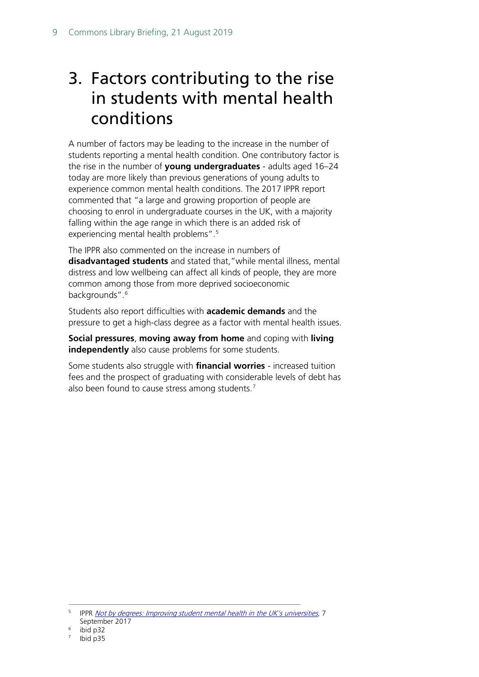# <span id="page-8-0"></span>3. Factors contributing to the rise in students with mental health conditions

A number of factors may be leading to the increase in the number of students reporting a mental health condition. One contributory factor is the rise in the number of **young undergraduates** - adults aged 16–24 today are more likely than previous generations of young adults to experience common mental health conditions. The 2017 IPPR report commented that "a large and growing proportion of people are choosing to enrol in undergraduate courses in the UK, with a majority falling within the age range in which there is an added risk of experiencing mental health problems".<sup>[5](#page-8-1)</sup>

The IPPR also commented on the increase in numbers of **disadvantaged students** and stated that,"while mental illness, mental distress and low wellbeing can affect all kinds of people, they are more common among those from more deprived socioeconomic backgrounds".<sup>[6](#page-8-2)</sup>

Students also report difficulties with **academic demands** and the pressure to get a high-class degree as a factor with mental health issues.

**Social pressures**, **moving away from home** and coping with **living independently** also cause problems for some students.

Some students also struggle with **financial worries** - increased tuition fees and the prospect of graduating with considerable levels of debt has also been found to cause stress among students. $^7$  $^7$ 

<span id="page-8-1"></span>IPPR [Not by degrees: Improving student mental health in the UK's universities](https://www.ippr.org/publications/not-by-degrees), 7 September 2017

ibid p32

<span id="page-8-3"></span><span id="page-8-2"></span>Ibid p35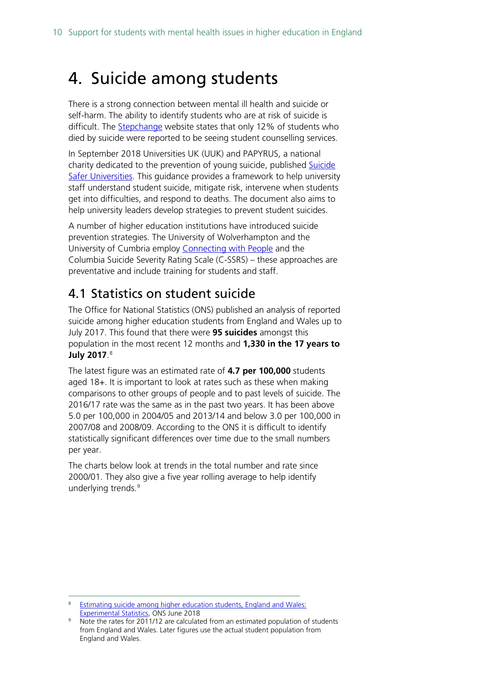## <span id="page-9-0"></span>4. Suicide among students

There is a strong connection between mental ill health and suicide or self-harm. The ability to identify students who are at risk of suicide is difficult. The **Stepchange** website states that only 12% of students who died by suicide were reported to be seeing student counselling services.

In September 2018 Universities UK (UUK) and PAPYRUS, a national charity dedicated to the prevention of young suicide, published Suicide [Safer Universities.](https://www.universitiesuk.ac.uk/policy-and-analysis/reports/Documents/2018/guidance-for-universities-on-preventing-student-suicides.pdf) This guidance provides a framework to help university staff understand student suicide, mitigate risk, intervene when students get into difficulties, and respond to deaths. The document also aims to help university leaders develop strategies to prevent student suicides.

A number of higher education institutions have introduced suicide prevention strategies. The University of Wolverhampton and the University of Cumbria employ [Connecting with People](http://www.connectingwithpeople.org/about) and the Columbia Suicide Severity Rating Scale (C-SSRS) – these approaches are preventative and include training for students and staff.

### <span id="page-9-1"></span>4.1 Statistics on student suicide

The Office for National Statistics (ONS) published an analysis of reported suicide among higher education students from England and Wales up to July 2017. This found that there were **95 suicides** amongst this population in the most recent 12 months and **1,330 in the 17 years to July 2017**. [8](#page-9-2)

The latest figure was an estimated rate of **4.7 per 100,000** students aged 18+. It is important to look at rates such as these when making comparisons to other groups of people and to past levels of suicide. The 2016/17 rate was the same as in the past two years. It has been above 5.0 per 100,000 in 2004/05 and 2013/14 and below 3.0 per 100,000 in 2007/08 and 2008/09. According to the ONS it is difficult to identify statistically significant differences over time due to the small numbers per year.

The charts below look at trends in the total number and rate since 2000/01. They also give a five year rolling average to help identify underlying trends.<sup>[9](#page-9-3)</sup>

<span id="page-9-2"></span>Estimating suicide among higher education students, England and Wales: [Experimental Statistics,](https://www.ons.gov.uk/peoplepopulationandcommunity/birthsdeathsandmarriages/deaths/articles/estimatingsuicideamonghighereducationstudentsenglandandwalesexperimentalstatistics/2018-06-25) ONS June 2018

<span id="page-9-3"></span>Note the rates for 2011/12 are calculated from an estimated population of students from England and Wales. Later figures use the actual student population from England and Wales.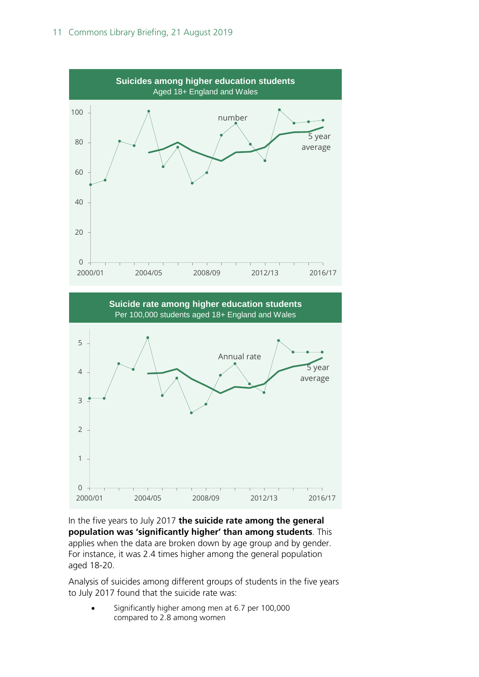



In the five years to July 2017 **the suicide rate among the general population was 'significantly higher' than among students**. This applies when the data are broken down by age group and by gender. For instance, it was 2.4 times higher among the general population aged 18-20.

Analysis of suicides among different groups of students in the five years to July 2017 found that the suicide rate was:

• Significantly higher among men at 6.7 per 100,000 compared to 2.8 among women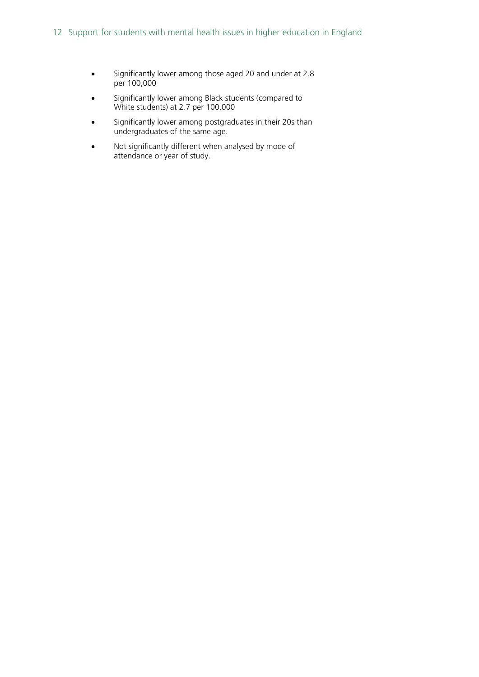- Significantly lower among those aged 20 and under at 2.8 per 100,000
- Significantly lower among Black students (compared to White students) at 2.7 per 100,000
- Significantly lower among postgraduates in their 20s than undergraduates of the same age.
- Not significantly different when analysed by mode of attendance or year of study.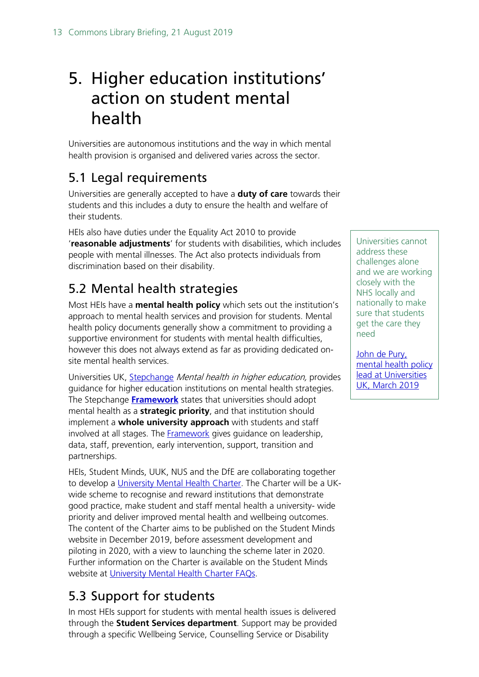# <span id="page-12-0"></span>5. Higher education institutions' action on student mental health

Universities are autonomous institutions and the way in which mental health provision is organised and delivered varies across the sector.

## <span id="page-12-1"></span>5.1 Legal requirements

Universities are generally accepted to have a **duty of care** towards their students and this includes a duty to ensure the health and welfare of their students.

HEIs also have duties under the Equality Act 2010 to provide '**reasonable adjustments**' for students with disabilities, which includes people with mental illnesses. The Act also protects individuals from discrimination based on their disability.

## <span id="page-12-2"></span>5.2 Mental health strategies

Most HEIs have a **mental health policy** which sets out the institution's approach to mental health services and provision for students. Mental health policy documents generally show a commitment to providing a supportive environment for students with mental health difficulties, however this does not always extend as far as providing dedicated onsite mental health services.

Universities UK, [Stepchange](https://www.universitiesuk.ac.uk/policy-and-analysis/stepchange/Pages/default.aspx) Mental health in higher education, provides guidance for higher education institutions on mental health strategies. The Stepchange **[Framework](http://www.universitiesuk.ac.uk/policy-and-analysis/stepchange/Pages/framework.aspx)** states that universities should adopt mental health as a **strategic priority**, and that institution should implement a **whole university approach** with students and staff involved at all stages. The **Framework** gives guidance on leadership, data, staff, prevention, early intervention, support, transition and partnerships.

HEIs, Student Minds, UUK, NUS and the DfE are collaborating together to develop a [University Mental Health Charter.](https://www.studentminds.org.uk/charter.html) The Charter will be a UKwide scheme to recognise and reward institutions that demonstrate good practice, make student and staff mental health a university- wide priority and deliver improved mental health and wellbeing outcomes. The content of the Charter aims to be published on the Student Minds website in December 2019, before assessment development and piloting in 2020, with a view to launching the scheme later in 2020. Further information on the Charter is available on the Student Minds website at [University Mental Health Charter FAQs.](https://www.studentminds.org.uk/charterfaqs.html)

## <span id="page-12-3"></span>5.3 Support for students

In most HEIs support for students with mental health issues is delivered through the **Student Services department**. Support may be provided through a specific Wellbeing Service, Counselling Service or Disability

Universities cannot address these challenges alone and we are working closely with the NHS locally and nationally to make sure that students get the care they need

[John de Pury,](https://www.theguardian.com/education/2019/mar/05/levels-of-distress-and-illness-among-students-in-uk-alarmingly-high)  [mental health policy](https://www.theguardian.com/education/2019/mar/05/levels-of-distress-and-illness-among-students-in-uk-alarmingly-high)  [lead at Universities](https://www.theguardian.com/education/2019/mar/05/levels-of-distress-and-illness-among-students-in-uk-alarmingly-high)  [UK, March 2019](https://www.theguardian.com/education/2019/mar/05/levels-of-distress-and-illness-among-students-in-uk-alarmingly-high)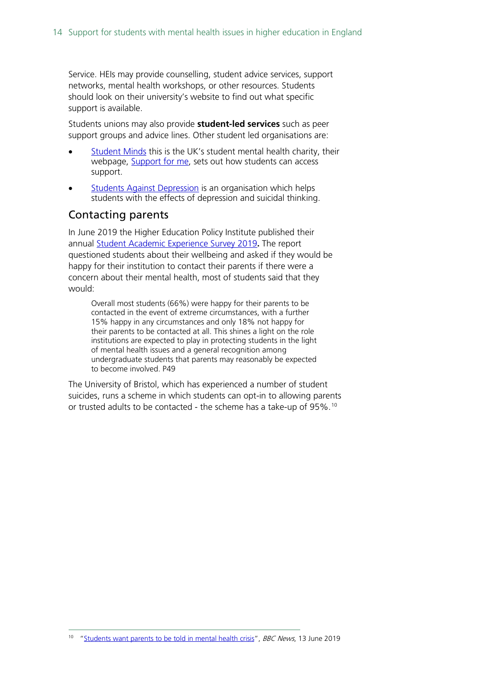Service. HEIs may provide counselling, student advice services, support networks, mental health workshops, or other resources. Students should look on their university's website to find out what specific support is available.

Students unions may also provide **student-led services** such as peer support groups and advice lines. Other student led organisations are:

- [Student Minds](https://www.studentminds.org.uk/) this is the UK's student mental health charity, their webpage, [Support for me,](https://www.studentminds.org.uk/supportforme.html) sets out how students can access support.
- **[Students Against Depression](https://www.studentsagainstdepression.org/about-us/) is an organisation which helps** students with the effects of depression and suicidal thinking.

#### Contacting parents

In June 2019 the Higher Education Policy Institute published their annual [Student Academic Experience Survey 2019](https://www.hepi.ac.uk/wp-content/uploads/2019/06/Student-Academic-Experience-Survey-2019.pdf)**.** The report questioned students about their wellbeing and asked if they would be happy for their institution to contact their parents if there were a concern about their mental health, most of students said that they would:

Overall most students (66%) were happy for their parents to be contacted in the event of extreme circumstances, with a further 15% happy in any circumstances and only 18% not happy for their parents to be contacted at all. This shines a light on the role institutions are expected to play in protecting students in the light of mental health issues and a general recognition among undergraduate students that parents may reasonably be expected to become involved. P49

The University of Bristol, which has experienced a number of student suicides, runs a scheme in which students can opt-in to allowing parents or trusted adults to be contacted - the scheme has a take-up of 95%.[10](#page-13-0)

<span id="page-13-0"></span><sup>&</sup>lt;sup>10</sup> ["Students want parents to be told in mental health crisis"](https://www.bbc.co.uk/news/education-48611593), BBC News, 13 June 2019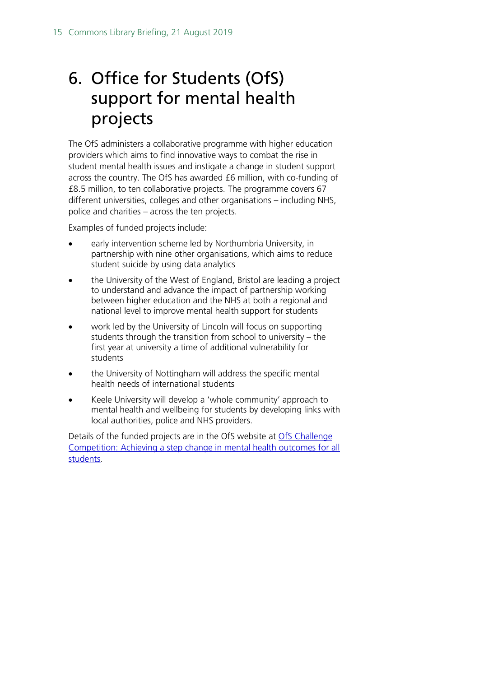# <span id="page-14-0"></span>6. Office for Students (OfS) support for mental health projects

The OfS administers a collaborative programme with higher education providers which aims to find innovative ways to combat the rise in student mental health issues and instigate a change in student support across the country. The OfS has awarded £6 million, with co-funding of £8.5 million, to ten collaborative projects. The programme covers 67 different universities, colleges and other organisations – including NHS, police and charities – across the ten projects.

Examples of funded projects include:

- early intervention scheme led by Northumbria University, in partnership with nine other organisations, which aims to reduce student suicide by using data analytics
- the University of the West of England, Bristol are leading a project to understand and advance the impact of partnership working between higher education and the NHS at both a regional and national level to improve mental health support for students
- work led by the University of Lincoln will focus on supporting students through the transition from school to university – the first year at university a time of additional vulnerability for students
- the University of Nottingham will address the specific mental health needs of international students
- Keele University will develop a 'whole community' approach to mental health and wellbeing for students by developing links with local authorities, police and NHS providers.

Details of the funded projects are in the OfS website at [OfS Challenge](https://www.officeforstudents.org.uk/advice-and-guidance/student-wellbeing-and-protection/improving-mental-health-outcomes/)  [Competition: Achieving a step change in mental health outcomes for all](https://www.officeforstudents.org.uk/advice-and-guidance/student-wellbeing-and-protection/improving-mental-health-outcomes/)  [students.](https://www.officeforstudents.org.uk/advice-and-guidance/student-wellbeing-and-protection/improving-mental-health-outcomes/)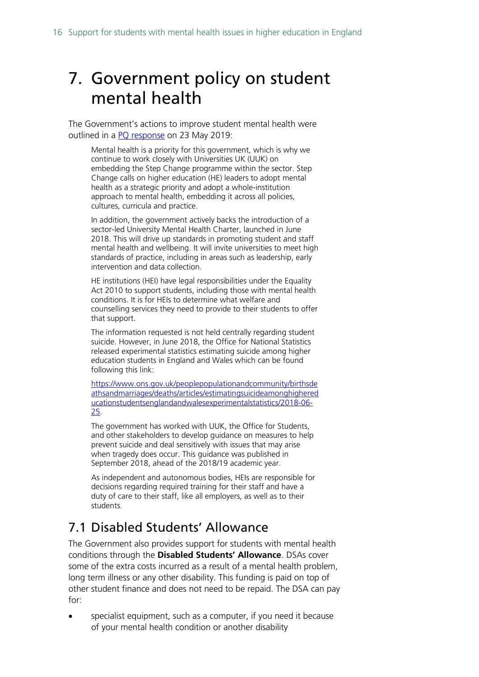## <span id="page-15-0"></span>7. Government policy on student mental health

The Government's actions to improve student mental health were outlined in a [PQ response](https://www.parliament.uk/written-questions-answers-statements/written-question/commons/2019-05-20/256293) on 23 May 2019:

Mental health is a priority for this government, which is why we continue to work closely with Universities UK (UUK) on embedding the Step Change programme within the sector. Step Change calls on higher education (HE) leaders to adopt mental health as a strategic priority and adopt a whole-institution approach to mental health, embedding it across all policies, cultures, curricula and practice.

In addition, the government actively backs the introduction of a sector-led University Mental Health Charter, launched in June 2018. This will drive up standards in promoting student and staff mental health and wellbeing. It will invite universities to meet high standards of practice, including in areas such as leadership, early intervention and data collection.

HE institutions (HEI) have legal responsibilities under the Equality Act 2010 to support students, including those with mental health conditions. It is for HEIs to determine what welfare and counselling services they need to provide to their students to offer that support.

The information requested is not held centrally regarding student suicide. However, in June 2018, the Office for National Statistics released experimental statistics estimating suicide among higher education students in England and Wales which can be found following this link:

[https://www.ons.gov.uk/peoplepopulationandcommunity/birthsde](https://www.ons.gov.uk/peoplepopulationandcommunity/birthsdeathsandmarriages/deaths/articles/estimatingsuicideamonghighereducationstudentsenglandandwalesexperimentalstatistics/2018-06-25) [athsandmarriages/deaths/articles/estimatingsuicideamonghighered](https://www.ons.gov.uk/peoplepopulationandcommunity/birthsdeathsandmarriages/deaths/articles/estimatingsuicideamonghighereducationstudentsenglandandwalesexperimentalstatistics/2018-06-25) [ucationstudentsenglandandwalesexperimentalstatistics/2018-06-](https://www.ons.gov.uk/peoplepopulationandcommunity/birthsdeathsandmarriages/deaths/articles/estimatingsuicideamonghighereducationstudentsenglandandwalesexperimentalstatistics/2018-06-25) [25.](https://www.ons.gov.uk/peoplepopulationandcommunity/birthsdeathsandmarriages/deaths/articles/estimatingsuicideamonghighereducationstudentsenglandandwalesexperimentalstatistics/2018-06-25)

The government has worked with UUK, the Office for Students, and other stakeholders to develop guidance on measures to help prevent suicide and deal sensitively with issues that may arise when tragedy does occur. This guidance was published in September 2018, ahead of the 2018/19 academic year.

As independent and autonomous bodies, HEIs are responsible for decisions regarding required training for their staff and have a duty of care to their staff, like all employers, as well as to their students.

## <span id="page-15-1"></span>7.1 Disabled Students' Allowance

The Government also provides support for students with mental health conditions through the **Disabled Students' Allowance**. DSAs cover some of the extra costs incurred as a result of a mental health problem, long term illness or any other disability. This funding is paid on top of other student finance and does not need to be repaid. The DSA can pay for:

specialist equipment, such as a computer, if you need it because of your mental health condition or another disability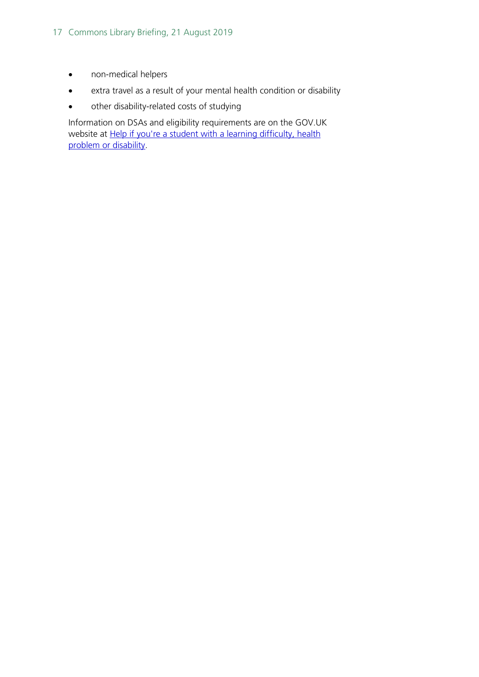- non-medical helpers
- extra travel as a result of your mental health condition or disability
- other disability-related costs of studying

Information on DSAs and eligibility requirements are on the GOV.UK website at **Help if you're a student with a learning difficulty, health** [problem or disability.](https://www.gov.uk/disabled-students-allowances-dsas)